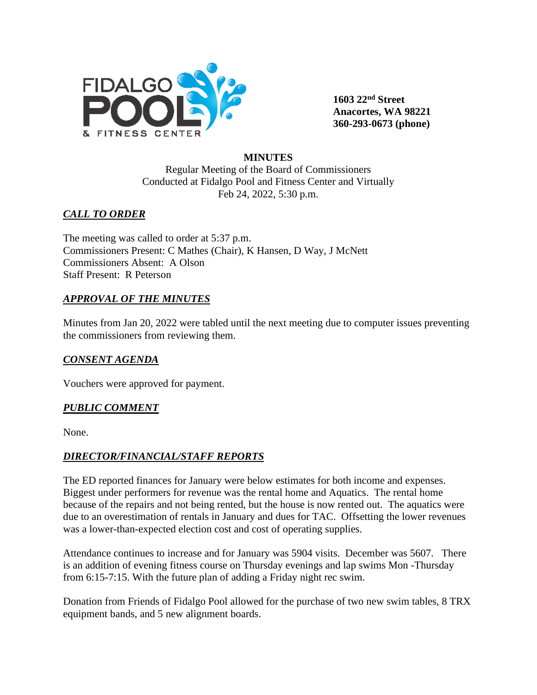

**1603 22nd Street Anacortes, WA 98221 360-293-0673 (phone)** 

#### **MINUTES**

Regular Meeting of the Board of Commissioners Conducted at Fidalgo Pool and Fitness Center and Virtually Feb 24, 2022, 5:30 p.m.

# *CALL TO ORDER*

The meeting was called to order at 5:37 p.m. Commissioners Present: C Mathes (Chair), K Hansen, D Way, J McNett Commissioners Absent: A Olson Staff Present: R Peterson

# *APPROVAL OF THE MINUTES*

Minutes from Jan 20, 2022 were tabled until the next meeting due to computer issues preventing the commissioners from reviewing them.

#### *CONSENT AGENDA*

Vouchers were approved for payment.

#### *PUBLIC COMMENT*

None.

#### *DIRECTOR/FINANCIAL/STAFF REPORTS*

The ED reported finances for January were below estimates for both income and expenses. Biggest under performers for revenue was the rental home and Aquatics. The rental home because of the repairs and not being rented, but the house is now rented out. The aquatics were due to an overestimation of rentals in January and dues for TAC. Offsetting the lower revenues was a lower-than-expected election cost and cost of operating supplies.

Attendance continues to increase and for January was 5904 visits. December was 5607. There is an addition of evening fitness course on Thursday evenings and lap swims Mon -Thursday from 6:15-7:15. With the future plan of adding a Friday night rec swim.

Donation from Friends of Fidalgo Pool allowed for the purchase of two new swim tables, 8 TRX equipment bands, and 5 new alignment boards.